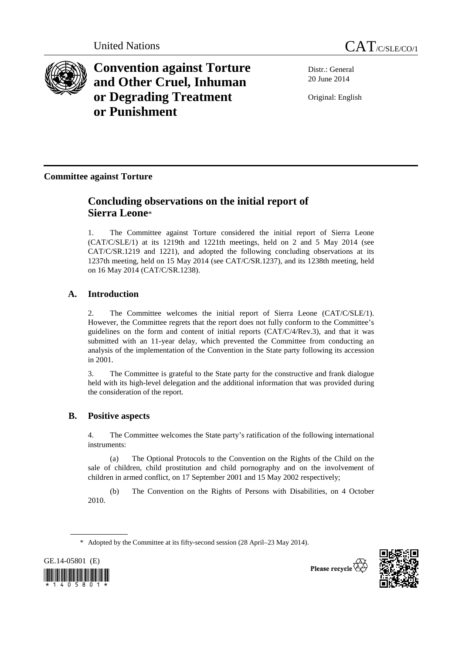



**Convention against Torture and Other Cruel, Inhuman or Degrading Treatment or Punishment**

Distr.: General 20 June 2014

Original: English

**Committee against Torture** 

# **Concluding observations on the initial report of Sierra Leone**\*

1. The Committee against Torture considered the initial report of Sierra Leone (CAT/C/SLE/1) at its 1219th and 1221th meetings, held on 2 and 5 May 2014 (see CAT/C/SR.1219 and 1221), and adopted the following concluding observations at its 1237th meeting, held on 15 May 2014 (see CAT/C/SR.1237), and its 1238th meeting, held on 16 May 2014 (CAT/C/SR.1238).

# **A. Introduction**

2. The Committee welcomes the initial report of Sierra Leone (CAT/C/SLE/1). However, the Committee regrets that the report does not fully conform to the Committee's guidelines on the form and content of initial reports (CAT/C/4/Rev.3), and that it was submitted with an 11-year delay, which prevented the Committee from conducting an analysis of the implementation of the Convention in the State party following its accession in 2001.

3. The Committee is grateful to the State party for the constructive and frank dialogue held with its high-level delegation and the additional information that was provided during the consideration of the report.

# **B. Positive aspects**

4. The Committee welcomes the State party's ratification of the following international instruments:

(a) The Optional Protocols to the Convention on the Rights of the Child on the sale of children, child prostitution and child pornography and on the involvement of children in armed conflict, on 17 September 2001 and 15 May 2002 respectively;

(b) The Convention on the Rights of Persons with Disabilities, on 4 October 2010.

 <sup>\*</sup> Adopted by the Committee at its fifty-second session (28 April–23 May 2014).





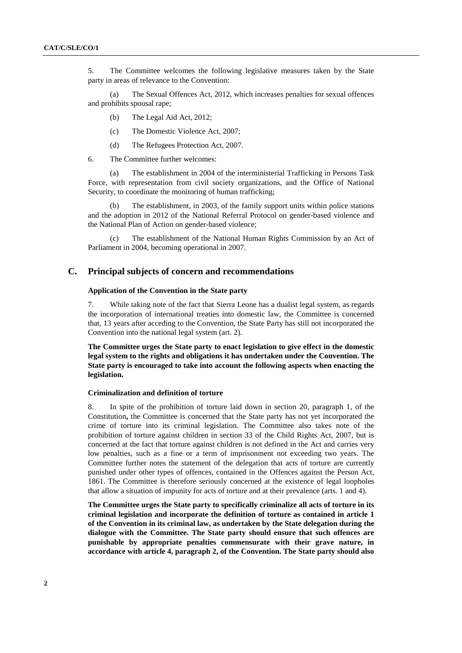5. The Committee welcomes the following legislative measures taken by the State party in areas of relevance to the Convention:

(a) The Sexual Offences Act, 2012, which increases penalties for sexual offences and prohibits spousal rape;

- (b) The Legal Aid Act, 2012;
- (c) The Domestic Violence Act, 2007;
- (d) The Refugees Protection Act, 2007.

6. The Committee further welcomes:

(a) The establishment in 2004 of the interministerial Trafficking in Persons Task Force, with representation from civil society organizations, and the Office of National Security, to coordinate the monitoring of human trafficking;

(b) The establishment, in 2003, of the family support units within police stations and the adoption in 2012 of the National Referral Protocol on gender-based violence and the National Plan of Action on gender-based violence;

The establishment of the National Human Rights Commission by an Act of Parliament in 2004, becoming operational in 2007.

# **C. Principal subjects of concern and recommendations**

# **Application of the Convention in the State party**

7. While taking note of the fact that Sierra Leone has a dualist legal system, as regards the incorporation of international treaties into domestic law, the Committee is concerned that, 13 years after acceding to the Convention, the State Party has still not incorporated the Convention into the national legal system (art. 2).

**The Committee urges the State party to enact legislation to give effect in the domestic legal system to the rights and obligations it has undertaken under the Convention. The State party is encouraged to take into account the following aspects when enacting the legislation.** 

#### **Criminalization and definition of torture**

8. In spite of the prohibition of torture laid down in section 20, paragraph 1, of the Constitution**,** the Committee is concerned that the State party has not yet incorporated the crime of torture into its criminal legislation. The Committee also takes note of the prohibition of torture against children in section 33 of the Child Rights Act, 2007, but is concerned at the fact that torture against children is not defined in the Act and carries very low penalties, such as a fine or a term of imprisonment not exceeding two years. The Committee further notes the statement of the delegation that acts of torture are currently punished under other types of offences, contained in the Offences against the Person Act, 1861. The Committee is therefore seriously concerned at the existence of legal loopholes that allow a situation of impunity for acts of torture and at their prevalence (arts. 1 and 4).

**The Committee urges the State party to specifically criminalize all acts of torture in its criminal legislation and incorporate the definition of torture as contained in article 1 of the Convention in its criminal law, as undertaken by the State delegation during the dialogue with the Committee. The State party should ensure that such offences are punishable by appropriate penalties commensurate with their grave nature, in accordance with article 4, paragraph 2, of the Convention. The State party should also**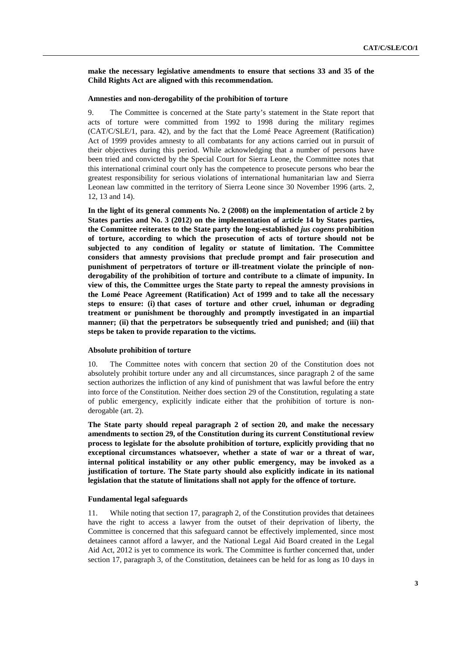**make the necessary legislative amendments to ensure that sections 33 and 35 of the Child Rights Act are aligned with this recommendation.** 

# **Amnesties and non-derogability of the prohibition of torture**

9. The Committee is concerned at the State party's statement in the State report that acts of torture were committed from 1992 to 1998 during the military regimes (CAT/C/SLE/1, para. 42), and by the fact that the Lomé Peace Agreement (Ratification) Act of 1999 provides amnesty to all combatants for any actions carried out in pursuit of their objectives during this period. While acknowledging that a number of persons have been tried and convicted by the Special Court for Sierra Leone, the Committee notes that this international criminal court only has the competence to prosecute persons who bear the greatest responsibility for serious violations of international humanitarian law and Sierra Leonean law committed in the territory of Sierra Leone since 30 November 1996 (arts. 2, 12, 13 and 14).

**In the light of its general comments No. 2 (2008) on the implementation of article 2 by States parties and No. 3 (2012) on the implementation of article 14 by States parties, the Committee reiterates to the State party the long-established** *jus cogens* **prohibition of torture, according to which the prosecution of acts of torture should not be subjected to any condition of legality or statute of limitation. The Committee considers that amnesty provisions that preclude prompt and fair prosecution and punishment of perpetrators of torture or ill-treatment violate the principle of nonderogability of the prohibition of torture and contribute to a climate of impunity. In view of this, the Committee urges the State party to repeal the amnesty provisions in the Lomé Peace Agreement (Ratification) Act of 1999 and to take all the necessary steps to ensure: (i) that cases of torture and other cruel, inhuman or degrading treatment or punishment be thoroughly and promptly investigated in an impartial manner; (ii) that the perpetrators be subsequently tried and punished; and (iii) that steps be taken to provide reparation to the victims.** 

#### **Absolute prohibition of torture**

10. The Committee notes with concern that section 20 of the Constitution does not absolutely prohibit torture under any and all circumstances, since paragraph 2 of the same section authorizes the infliction of any kind of punishment that was lawful before the entry into force of the Constitution. Neither does section 29 of the Constitution, regulating a state of public emergency, explicitly indicate either that the prohibition of torture is nonderogable (art. 2).

**The State party should repeal paragraph 2 of section 20, and make the necessary amendments to section 29, of the Constitution during its current Constitutional review process to legislate for the absolute prohibition of torture, explicitly providing that no exceptional circumstances whatsoever, whether a state of war or a threat of war, internal political instability or any other public emergency, may be invoked as a justification of torture. The State party should also explicitly indicate in its national legislation that the statute of limitations shall not apply for the offence of torture.** 

#### **Fundamental legal safeguards**

11. While noting that section 17, paragraph 2, of the Constitution provides that detainees have the right to access a lawyer from the outset of their deprivation of liberty, the Committee is concerned that this safeguard cannot be effectively implemented, since most detainees cannot afford a lawyer, and the National Legal Aid Board created in the Legal Aid Act, 2012 is yet to commence its work. The Committee is further concerned that, under section 17, paragraph 3, of the Constitution, detainees can be held for as long as 10 days in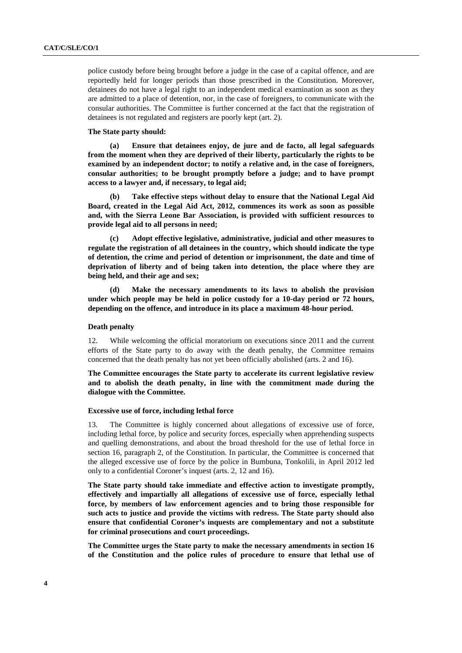police custody before being brought before a judge in the case of a capital offence, and are reportedly held for longer periods than those prescribed in the Constitution. Moreover, detainees do not have a legal right to an independent medical examination as soon as they are admitted to a place of detention, nor, in the case of foreigners, to communicate with the consular authorities. The Committee is further concerned at the fact that the registration of detainees is not regulated and registers are poorly kept (art. 2).

## **The State party should:**

**(a) Ensure that detainees enjoy, de jure and de facto, all legal safeguards from the moment when they are deprived of their liberty, particularly the rights to be examined by an independent doctor; to notify a relative and, in the case of foreigners, consular authorities; to be brought promptly before a judge; and to have prompt access to a lawyer and, if necessary, to legal aid;** 

**(b) Take effective steps without delay to ensure that the National Legal Aid Board, created in the Legal Aid Act, 2012, commences its work as soon as possible and, with the Sierra Leone Bar Association, is provided with sufficient resources to provide legal aid to all persons in need;** 

**(c) Adopt effective legislative, administrative, judicial and other measures to regulate the registration of all detainees in the country, which should indicate the type of detention, the crime and period of detention or imprisonment, the date and time of deprivation of liberty and of being taken into detention, the place where they are being held, and their age and sex;** 

**(d) Make the necessary amendments to its laws to abolish the provision under which people may be held in police custody for a 10-day period or 72 hours, depending on the offence, and introduce in its place a maximum 48-hour period.** 

# **Death penalty**

12. While welcoming the official moratorium on executions since 2011 and the current efforts of the State party to do away with the death penalty, the Committee remains concerned that the death penalty has not yet been officially abolished (arts. 2 and 16).

**The Committee encourages the State party to accelerate its current legislative review and to abolish the death penalty, in line with the commitment made during the dialogue with the Committee.** 

#### **Excessive use of force, including lethal force**

13. The Committee is highly concerned about allegations of excessive use of force, including lethal force, by police and security forces, especially when apprehending suspects and quelling demonstrations, and about the broad threshold for the use of lethal force in section 16, paragraph 2, of the Constitution. In particular, the Committee is concerned that the alleged excessive use of force by the police in Bumbuna, Tonkolili, in April 2012 led only to a confidential Coroner's inquest (arts. 2, 12 and 16).

**The State party should take immediate and effective action to investigate promptly, effectively and impartially all allegations of excessive use of force, especially lethal force, by members of law enforcement agencies and to bring those responsible for such acts to justice and provide the victims with redress. The State party should also ensure that confidential Coroner's inquests are complementary and not a substitute for criminal prosecutions and court proceedings.** 

**The Committee urges the State party to make the necessary amendments in section 16 of the Constitution and the police rules of procedure to ensure that lethal use of**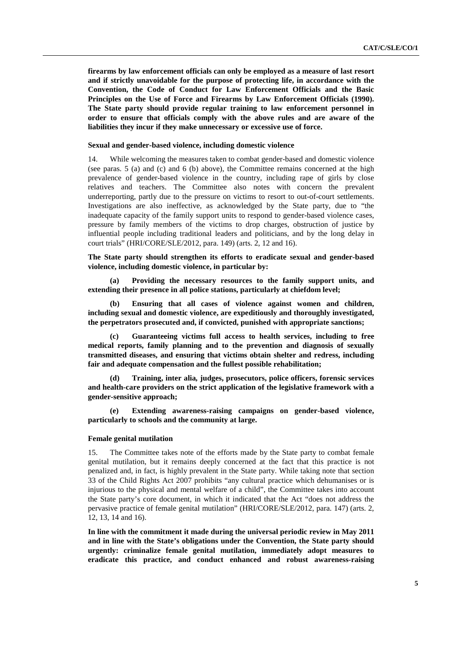**firearms by law enforcement officials can only be employed as a measure of last resort and if strictly unavoidable for the purpose of protecting life, in accordance with the Convention, the Code of Conduct for Law Enforcement Officials and the Basic Principles on the Use of Force and Firearms by Law Enforcement Officials (1990). The State party should provide regular training to law enforcement personnel in order to ensure that officials comply with the above rules and are aware of the liabilities they incur if they make unnecessary or excessive use of force.** 

## **Sexual and gender-based violence, including domestic violence**

14. While welcoming the measures taken to combat gender-based and domestic violence (see paras. 5 (a) and (c) and 6 (b) above), the Committee remains concerned at the high prevalence of gender-based violence in the country, including rape of girls by close relatives and teachers. The Committee also notes with concern the prevalent underreporting, partly due to the pressure on victims to resort to out-of-court settlements. Investigations are also ineffective, as acknowledged by the State party, due to "the inadequate capacity of the family support units to respond to gender-based violence cases, pressure by family members of the victims to drop charges, obstruction of justice by influential people including traditional leaders and politicians, and by the long delay in court trials" (HRI/CORE/SLE/2012, para. 149) (arts. 2, 12 and 16).

**The State party should strengthen its efforts to eradicate sexual and gender-based violence, including domestic violence, in particular by:** 

**(a) Providing the necessary resources to the family support units, and extending their presence in all police stations, particularly at chiefdom level;** 

**(b) Ensuring that all cases of violence against women and children, including sexual and domestic violence, are expeditiously and thoroughly investigated, the perpetrators prosecuted and, if convicted, punished with appropriate sanctions;** 

**(c) Guaranteeing victims full access to health services, including to free medical reports, family planning and to the prevention and diagnosis of sexually transmitted diseases, and ensuring that victims obtain shelter and redress, including fair and adequate compensation and the fullest possible rehabilitation;** 

**(d) Training, inter alia***,* **judges, prosecutors, police officers, forensic services and health-care providers on the strict application of the legislative framework with a gender-sensitive approach;** 

**(e) Extending awareness-raising campaigns on gender-based violence, particularly to schools and the community at large.** 

## **Female genital mutilation**

15. The Committee takes note of the efforts made by the State party to combat female genital mutilation, but it remains deeply concerned at the fact that this practice is not penalized and, in fact, is highly prevalent in the State party. While taking note that section 33 of the Child Rights Act 2007 prohibits "any cultural practice which dehumanises or is injurious to the physical and mental welfare of a child", the Committee takes into account the State party's core document, in which it indicated that the Act "does not address the pervasive practice of female genital mutilation" (HRI/CORE/SLE/2012, para. 147) (arts. 2, 12, 13, 14 and 16).

**In line with the commitment it made during the universal periodic review in May 2011 and in line with the State's obligations under the Convention, the State party should urgently: criminalize female genital mutilation, immediately adopt measures to eradicate this practice, and conduct enhanced and robust awareness-raising**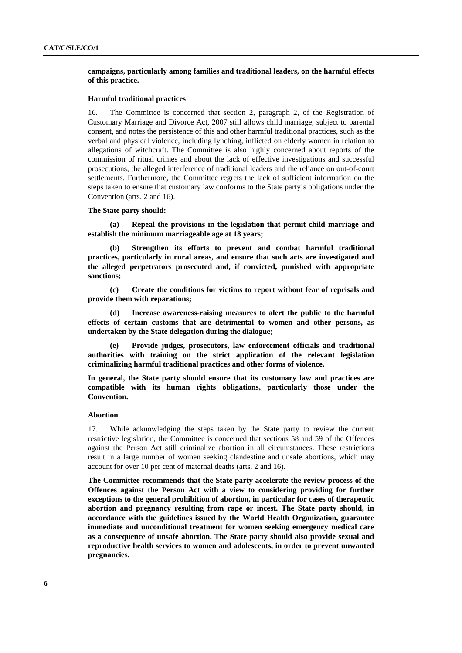# **campaigns, particularly among families and traditional leaders, on the harmful effects of this practice.**

# **Harmful traditional practices**

16. The Committee is concerned that section 2, paragraph 2, of the Registration of Customary Marriage and Divorce Act, 2007 still allows child marriage, subject to parental consent, and notes the persistence of this and other harmful traditional practices, such as the verbal and physical violence, including lynching, inflicted on elderly women in relation to allegations of witchcraft. The Committee is also highly concerned about reports of the commission of ritual crimes and about the lack of effective investigations and successful prosecutions, the alleged interference of traditional leaders and the reliance on out-of-court settlements. Furthermore, the Committee regrets the lack of sufficient information on the steps taken to ensure that customary law conforms to the State party's obligations under the Convention (arts. 2 and 16).

#### **The State party should:**

**(a) Repeal the provisions in the legislation that permit child marriage and establish the minimum marriageable age at 18 years;** 

**(b) Strengthen its efforts to prevent and combat harmful traditional practices, particularly in rural areas, and ensure that such acts are investigated and the alleged perpetrators prosecuted and, if convicted, punished with appropriate sanctions;** 

**(c) Create the conditions for victims to report without fear of reprisals and provide them with reparations;** 

**(d) Increase awareness-raising measures to alert the public to the harmful effects of certain customs that are detrimental to women and other persons, as undertaken by the State delegation during the dialogue;** 

**(e) Provide judges, prosecutors, law enforcement officials and traditional authorities with training on the strict application of the relevant legislation criminalizing harmful traditional practices and other forms of violence.** 

**In general, the State party should ensure that its customary law and practices are compatible with its human rights obligations, particularly those under the Convention.** 

## **Abortion**

17. While acknowledging the steps taken by the State party to review the current restrictive legislation, the Committee is concerned that sections 58 and 59 of the Offences against the Person Act still criminalize abortion in all circumstances. These restrictions result in a large number of women seeking clandestine and unsafe abortions, which may account for over 10 per cent of maternal deaths (arts. 2 and 16).

**The Committee recommends that the State party accelerate the review process of the Offences against the Person Act with a view to considering providing for further exceptions to the general prohibition of abortion, in particular for cases of therapeutic abortion and pregnancy resulting from rape or incest. The State party should, in accordance with the guidelines issued by the World Health Organization, guarantee immediate and unconditional treatment for women seeking emergency medical care as a consequence of unsafe abortion. The State party should also provide sexual and reproductive health services to women and adolescents, in order to prevent unwanted pregnancies.**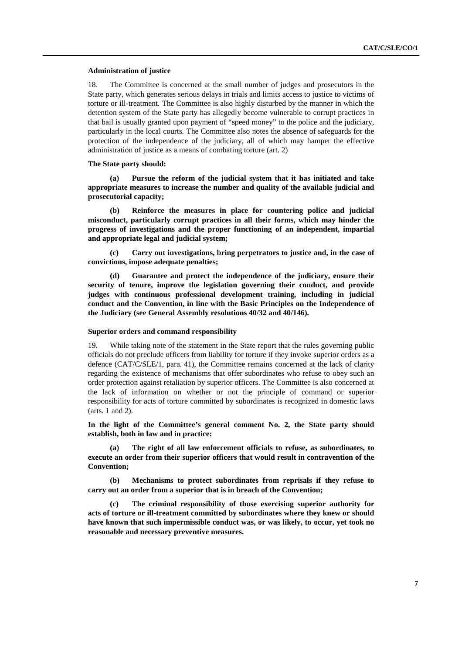#### **Administration of justice**

18. The Committee is concerned at the small number of judges and prosecutors in the State party, which generates serious delays in trials and limits access to justice to victims of torture or ill-treatment. The Committee is also highly disturbed by the manner in which the detention system of the State party has allegedly become vulnerable to corrupt practices in that bail is usually granted upon payment of "speed money" to the police and the judiciary, particularly in the local courts*.* The Committee also notes the absence of safeguards for the protection of the independence of the judiciary, all of which may hamper the effective administration of justice as a means of combating torture (art. 2)

# **The State party should:**

**(a) Pursue the reform of the judicial system that it has initiated and take appropriate measures to increase the number and quality of the available judicial and prosecutorial capacity;** 

**(b) Reinforce the measures in place for countering police and judicial misconduct, particularly corrupt practices in all their forms, which may hinder the progress of investigations and the proper functioning of an independent, impartial and appropriate legal and judicial system;** 

**(c) Carry out investigations, bring perpetrators to justice and, in the case of convictions, impose adequate penalties;** 

Guarantee and protect the independence of the judiciary, ensure their **security of tenure, improve the legislation governing their conduct, and provide judges with continuous professional development training***,* **including in judicial conduct and the Convention, in line with the Basic Principles on the Independence of the Judiciary (see General Assembly resolutions 40/32 and 40/146).** 

#### **Superior orders and command responsibility**

19. While taking note of the statement in the State report that the rules governing public officials do not preclude officers from liability for torture if they invoke superior orders as a defence (CAT/C/SLE/1, para. 41), the Committee remains concerned at the lack of clarity regarding the existence of mechanisms that offer subordinates who refuse to obey such an order protection against retaliation by superior officers. The Committee is also concerned at the lack of information on whether or not the principle of command or superior responsibility for acts of torture committed by subordinates is recognized in domestic laws (arts. 1 and 2).

**In the light of the Committee's general comment No. 2, the State party should establish, both in law and in practice:** 

The right of all law enforcement officials to refuse, as subordinates, to **execute an order from their superior officers that would result in contravention of the Convention;** 

**(b) Mechanisms to protect subordinates from reprisals if they refuse to carry out an order from a superior that is in breach of the Convention;** 

**(c) The criminal responsibility of those exercising superior authority for acts of torture or ill-treatment committed by subordinates where they knew or should have known that such impermissible conduct was, or was likely, to occur, yet took no reasonable and necessary preventive measures.**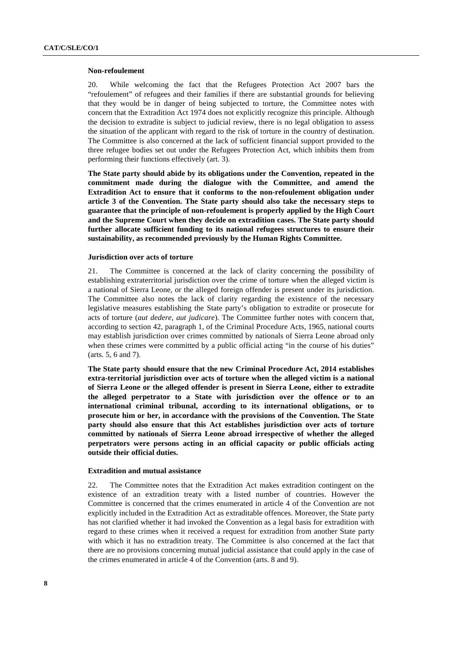#### **Non-refoulement**

20. While welcoming the fact that the Refugees Protection Act 2007 bars the "refoulement" of refugees and their families if there are substantial grounds for believing that they would be in danger of being subjected to torture, the Committee notes with concern that the Extradition Act 1974 does not explicitly recognize this principle. Although the decision to extradite is subject to judicial review, there is no legal obligation to assess the situation of the applicant with regard to the risk of torture in the country of destination. The Committee is also concerned at the lack of sufficient financial support provided to the three refugee bodies set out under the Refugees Protection Act, which inhibits them from performing their functions effectively (art. 3).

**The State party should abide by its obligations under the Convention, repeated in the commitment made during the dialogue with the Committee, and amend the Extradition Act to ensure that it conforms to the non-refoulement obligation under article 3 of the Convention. The State party should also take the necessary steps to guarantee that the principle of non-refoulement is properly applied by the High Court and the Supreme Court when they decide on extradition cases. The State party should further allocate sufficient funding to its national refugees structures to ensure their sustainability, as recommended previously by the Human Rights Committee.** 

## **Jurisdiction over acts of torture**

21. The Committee is concerned at the lack of clarity concerning the possibility of establishing extraterritorial jurisdiction over the crime of torture when the alleged victim is a national of Sierra Leone, or the alleged foreign offender is present under its jurisdiction. The Committee also notes the lack of clarity regarding the existence of the necessary legislative measures establishing the State party's obligation to extradite or prosecute for acts of torture (*aut dedere, aut judicare*). The Committee further notes with concern that, according to section 42, paragraph 1, of the Criminal Procedure Acts, 1965, national courts may establish jurisdiction over crimes committed by nationals of Sierra Leone abroad only when these crimes were committed by a public official acting "in the course of his duties" (arts. 5, 6 and 7).

**The State party should ensure that the new Criminal Procedure Act, 2014 establishes extra-territorial jurisdiction over acts of torture when the alleged victim is a national of Sierra Leone or the alleged offender is present in Sierra Leone, either to extradite the alleged perpetrator to a State with jurisdiction over the offence or to an international criminal tribunal, according to its international obligations, or to prosecute him or her, in accordance with the provisions of the Convention. The State party should also ensure that this Act establishes jurisdiction over acts of torture committed by nationals of Sierra Leone abroad irrespective of whether the alleged perpetrators were persons acting in an official capacity or public officials acting outside their official duties.** 

#### **Extradition and mutual assistance**

22. The Committee notes that the Extradition Act makes extradition contingent on the existence of an extradition treaty with a listed number of countries. However the Committee is concerned that the crimes enumerated in article 4 of the Convention are not explicitly included in the Extradition Act as extraditable offences. Moreover, the State party has not clarified whether it had invoked the Convention as a legal basis for extradition with regard to these crimes when it received a request for extradition from another State party with which it has no extradition treaty. The Committee is also concerned at the fact that there are no provisions concerning mutual judicial assistance that could apply in the case of the crimes enumerated in article 4 of the Convention (arts. 8 and 9).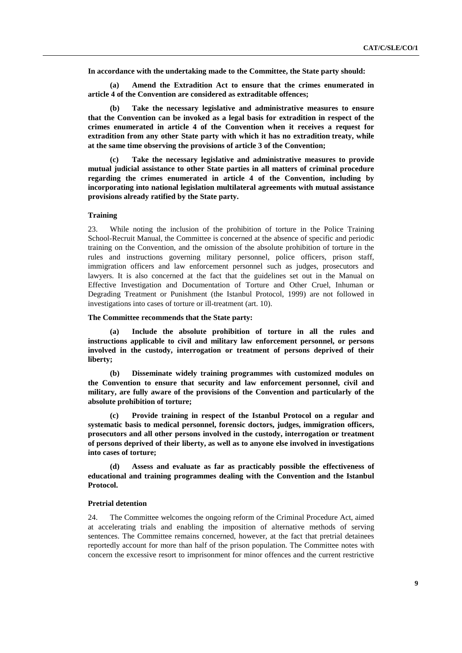**In accordance with the undertaking made to the Committee, the State party should:** 

**(a) Amend the Extradition Act to ensure that the crimes enumerated in article 4 of the Convention are considered as extraditable offences;** 

**(b) Take the necessary legislative and administrative measures to ensure that the Convention can be invoked as a legal basis for extradition in respect of the crimes enumerated in article 4 of the Convention when it receives a request for extradition from any other State party with which it has no extradition treaty, while at the same time observing the provisions of article 3 of the Convention;** 

**(c) Take the necessary legislative and administrative measures to provide mutual judicial assistance to other State parties in all matters of criminal procedure regarding the crimes enumerated in article 4 of the Convention, including by incorporating into national legislation multilateral agreements with mutual assistance provisions already ratified by the State party.** 

## **Training**

23. While noting the inclusion of the prohibition of torture in the Police Training School-Recruit Manual, the Committee is concerned at the absence of specific and periodic training on the Convention, and the omission of the absolute prohibition of torture in the rules and instructions governing military personnel, police officers, prison staff, immigration officers and law enforcement personnel such as judges, prosecutors and lawyers. It is also concerned at the fact that the guidelines set out in the Manual on Effective Investigation and Documentation of Torture and Other Cruel, Inhuman or Degrading Treatment or Punishment (the Istanbul Protocol, 1999) are not followed in investigations into cases of torture or ill-treatment (art. 10).

# **The Committee recommends that the State party:**

**(a) Include the absolute prohibition of torture in all the rules and instructions applicable to civil and military law enforcement personnel, or persons involved in the custody, interrogation or treatment of persons deprived of their liberty;** 

**(b) Disseminate widely training programmes with customized modules on the Convention to ensure that security and law enforcement personnel, civil and military, are fully aware of the provisions of the Convention and particularly of the absolute prohibition of torture;** 

**(c) Provide training in respect of the Istanbul Protocol on a regular and systematic basis to medical personnel, forensic doctors, judges, immigration officers, prosecutors and all other persons involved in the custody, interrogation or treatment of persons deprived of their liberty, as well as to anyone else involved in investigations into cases of torture;** 

**(d) Assess and evaluate as far as practicably possible the effectiveness of educational and training programmes dealing with the Convention and the Istanbul Protocol.** 

## **Pretrial detention**

24. The Committee welcomes the ongoing reform of the Criminal Procedure Act, aimed at accelerating trials and enabling the imposition of alternative methods of serving sentences. The Committee remains concerned, however, at the fact that pretrial detainees reportedly account for more than half of the prison population. The Committee notes with concern the excessive resort to imprisonment for minor offences and the current restrictive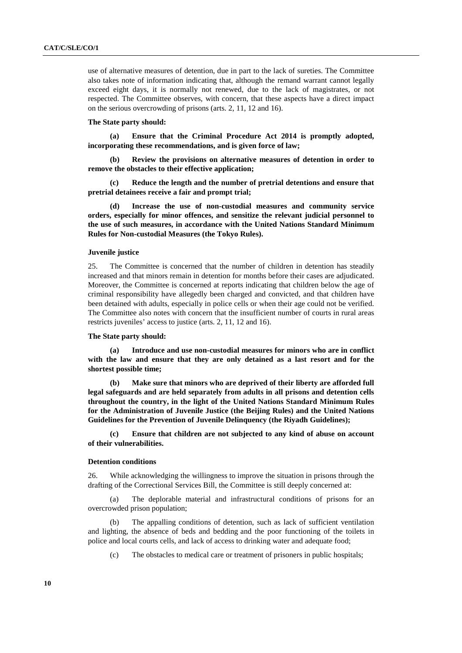use of alternative measures of detention, due in part to the lack of sureties. The Committee also takes note of information indicating that, although the remand warrant cannot legally exceed eight days, it is normally not renewed, due to the lack of magistrates, or not respected. The Committee observes, with concern, that these aspects have a direct impact on the serious overcrowding of prisons (arts. 2, 11, 12 and 16).

# **The State party should:**

**(a) Ensure that the Criminal Procedure Act 2014 is promptly adopted, incorporating these recommendations, and is given force of law;** 

**(b) Review the provisions on alternative measures of detention in order to remove the obstacles to their effective application;** 

**(c) Reduce the length and the number of pretrial detentions and ensure that pretrial detainees receive a fair and prompt trial;** 

Increase the use of non-custodial measures and community service **orders, especially for minor offences, and sensitize the relevant judicial personnel to the use of such measures, in accordance with the United Nations Standard Minimum Rules for Non-custodial Measures (the Tokyo Rules).** 

# **Juvenile justice**

25. The Committee is concerned that the number of children in detention has steadily increased and that minors remain in detention for months before their cases are adjudicated. Moreover, the Committee is concerned at reports indicating that children below the age of criminal responsibility have allegedly been charged and convicted, and that children have been detained with adults, especially in police cells or when their age could not be verified. The Committee also notes with concern that the insufficient number of courts in rural areas restricts juveniles' access to justice (arts. 2, 11, 12 and 16).

## **The State party should:**

**(a) Introduce and use non-custodial measures for minors who are in conflict with the law and ensure that they are only detained as a last resort and for the shortest possible time;** 

**(b) Make sure that minors who are deprived of their liberty are afforded full legal safeguards and are held separately from adults in all prisons and detention cells throughout the country, in the light of the United Nations Standard Minimum Rules for the Administration of Juvenile Justice (the Beijing Rules) and the United Nations Guidelines for the Prevention of Juvenile Delinquency (the Riyadh Guidelines);** 

**(c) Ensure that children are not subjected to any kind of abuse on account of their vulnerabilities.** 

# **Detention conditions**

26. While acknowledging the willingness to improve the situation in prisons through the drafting of the Correctional Services Bill, the Committee is still deeply concerned at:

(a) The deplorable material and infrastructural conditions of prisons for an overcrowded prison population;

(b) The appalling conditions of detention, such as lack of sufficient ventilation and lighting, the absence of beds and bedding and the poor functioning of the toilets in police and local courts cells, and lack of access to drinking water and adequate food;

(c) The obstacles to medical care or treatment of prisoners in public hospitals;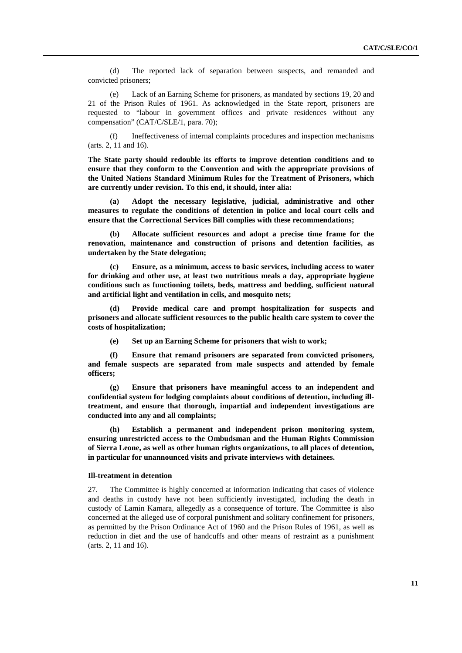(d) The reported lack of separation between suspects, and remanded and convicted prisoners;

(e) Lack of an Earning Scheme for prisoners, as mandated by sections 19, 20 and 21 of the Prison Rules of 1961. As acknowledged in the State report, prisoners are requested to "labour in government offices and private residences without any compensation" (CAT/C/SLE/1, para. 70);

(f) Ineffectiveness of internal complaints procedures and inspection mechanisms (arts. 2, 11 and 16).

**The State party should redouble its efforts to improve detention conditions and to ensure that they conform to the Convention and with the appropriate provisions of the United Nations Standard Minimum Rules for the Treatment of Prisoners, which are currently under revision. To this end, it should, inter alia:** 

**(a) Adopt the necessary legislative, judicial, administrative and other measures to regulate the conditions of detention in police and local court cells and ensure that the Correctional Services Bill complies with these recommendations;** 

**(b) Allocate sufficient resources and adopt a precise time frame for the renovation, maintenance and construction of prisons and detention facilities, as undertaken by the State delegation;** 

**(c) Ensure, as a minimum, access to basic services, including access to water for drinking and other use, at least two nutritious meals a day, appropriate hygiene conditions such as functioning toilets, beds, mattress and bedding, sufficient natural and artificial light and ventilation in cells, and mosquito nets;** 

Provide medical care and prompt hospitalization for suspects and **prisoners and allocate sufficient resources to the public health care system to cover the costs of hospitalization;** 

**(e) Set up an Earning Scheme for prisoners that wish to work;** 

**(f) Ensure that remand prisoners are separated from convicted prisoners, and female suspects are separated from male suspects and attended by female officers;** 

**(g) Ensure that prisoners have meaningful access to an independent and confidential system for lodging complaints about conditions of detention, including illtreatment, and ensure that thorough, impartial and independent investigations are conducted into any and all complaints;** 

**(h) Establish a permanent and independent prison monitoring system, ensuring unrestricted access to the Ombudsman and the Human Rights Commission of Sierra Leone, as well as other human rights organizations, to all places of detention, in particular for unannounced visits and private interviews with detainees.** 

#### **Ill-treatment in detention**

27. The Committee is highly concerned at information indicating that cases of violence and deaths in custody have not been sufficiently investigated, including the death in custody of Lamin Kamara, allegedly as a consequence of torture. The Committee is also concerned at the alleged use of corporal punishment and solitary confinement for prisoners, as permitted by the Prison Ordinance Act of 1960 and the Prison Rules of 1961, as well as reduction in diet and the use of handcuffs and other means of restraint as a punishment (arts. 2, 11 and 16).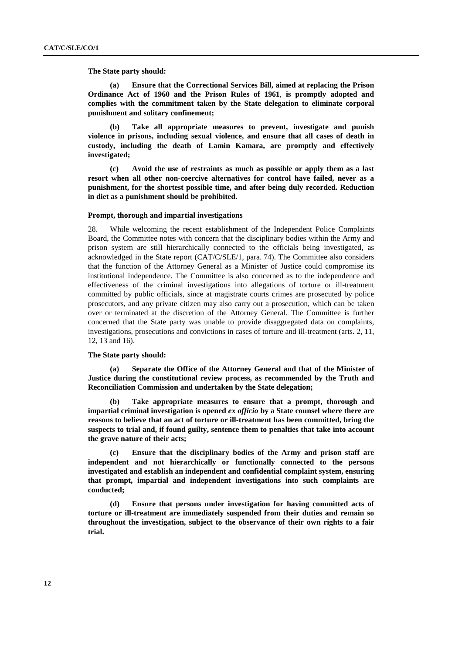**The State party should:** 

**(a) Ensure that the Correctional Services Bill, aimed at replacing the Prison Ordinance Act of 1960 and the Prison Rules of 1961**, **is promptly adopted and complies with the commitment taken by the State delegation to eliminate corporal punishment and solitary confinement;** 

**(b) Take all appropriate measures to prevent, investigate and punish violence in prisons, including sexual violence, and ensure that all cases of death in custody, including the death of Lamin Kamara, are promptly and effectively investigated;** 

**(c) Avoid the use of restraints as much as possible or apply them as a last resort when all other non-coercive alternatives for control have failed, never as a punishment, for the shortest possible time, and after being duly recorded. Reduction in diet as a punishment should be prohibited.** 

## **Prompt, thorough and impartial investigations**

28. While welcoming the recent establishment of the Independent Police Complaints Board, the Committee notes with concern that the disciplinary bodies within the Army and prison system are still hierarchically connected to the officials being investigated, as acknowledged in the State report (CAT/C/SLE/1, para. 74). The Committee also considers that the function of the Attorney General as a Minister of Justice could compromise its institutional independence. The Committee is also concerned as to the independence and effectiveness of the criminal investigations into allegations of torture or ill-treatment committed by public officials, since at magistrate courts crimes are prosecuted by police prosecutors, and any private citizen may also carry out a prosecution, which can be taken over or terminated at the discretion of the Attorney General. The Committee is further concerned that the State party was unable to provide disaggregated data on complaints, investigations, prosecutions and convictions in cases of torture and ill-treatment (arts. 2, 11, 12, 13 and 16).

# **The State party should:**

**(a) Separate the Office of the Attorney General and that of the Minister of Justice during the constitutional review process, as recommended by the Truth and Reconciliation Commission and undertaken by the State delegation;** 

**(b) Take appropriate measures to ensure that a prompt, thorough and impartial criminal investigation is opened** *ex officio* **by a State counsel where there are reasons to believe that an act of torture or ill-treatment has been committed, bring the suspects to trial and, if found guilty, sentence them to penalties that take into account the grave nature of their acts;** 

**(c) Ensure that the disciplinary bodies of the Army and prison staff are independent and not hierarchically or functionally connected to the persons investigated and establish an independent and confidential complaint system, ensuring that prompt, impartial and independent investigations into such complaints are conducted;** 

**(d) Ensure that persons under investigation for having committed acts of torture or ill-treatment are immediately suspended from their duties and remain so throughout the investigation, subject to the observance of their own rights to a fair trial.**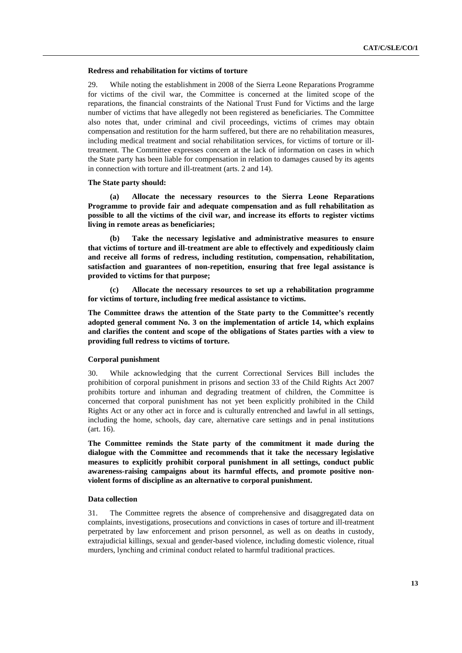# **Redress and rehabilitation for victims of torture**

29. While noting the establishment in 2008 of the Sierra Leone Reparations Programme for victims of the civil war, the Committee is concerned at the limited scope of the reparations, the financial constraints of the National Trust Fund for Victims and the large number of victims that have allegedly not been registered as beneficiaries. The Committee also notes that, under criminal and civil proceedings, victims of crimes may obtain compensation and restitution for the harm suffered, but there are no rehabilitation measures, including medical treatment and social rehabilitation services, for victims of torture or illtreatment. The Committee expresses concern at the lack of information on cases in which the State party has been liable for compensation in relation to damages caused by its agents in connection with torture and ill-treatment (arts. 2 and 14).

# **The State party should:**

**(a) Allocate the necessary resources to the Sierra Leone Reparations Programme to provide fair and adequate compensation and as full rehabilitation as possible to all the victims of the civil war, and increase its efforts to register victims living in remote areas as beneficiaries;** 

**(b) Take the necessary legislative and administrative measures to ensure that victims of torture and ill-treatment are able to effectively and expeditiously claim and receive all forms of redress, including restitution, compensation, rehabilitation, satisfaction and guarantees of non-repetition, ensuring that free legal assistance is provided to victims for that purpose;** 

**(c) Allocate the necessary resources to set up a rehabilitation programme for victims of torture, including free medical assistance to victims.** 

**The Committee draws the attention of the State party to the Committee's recently adopted general comment No. 3 on the implementation of article 14, which explains and clarifies the content and scope of the obligations of States parties with a view to providing full redress to victims of torture.** 

# **Corporal punishment**

30. While acknowledging that the current Correctional Services Bill includes the prohibition of corporal punishment in prisons and section 33 of the Child Rights Act 2007 prohibits torture and inhuman and degrading treatment of children, the Committee is concerned that corporal punishment has not yet been explicitly prohibited in the Child Rights Act or any other act in force and is culturally entrenched and lawful in all settings, including the home, schools, day care, alternative care settings and in penal institutions (art. 16).

**The Committee reminds the State party of the commitment it made during the dialogue with the Committee and recommends that it take the necessary legislative measures to explicitly prohibit corporal punishment in all settings, conduct public awareness-raising campaigns about its harmful effects, and promote positive nonviolent forms of discipline as an alternative to corporal punishment.** 

# **Data collection**

31. The Committee regrets the absence of comprehensive and disaggregated data on complaints, investigations, prosecutions and convictions in cases of torture and ill-treatment perpetrated by law enforcement and prison personnel, as well as on deaths in custody, extrajudicial killings, sexual and gender-based violence, including domestic violence, ritual murders, lynching and criminal conduct related to harmful traditional practices.